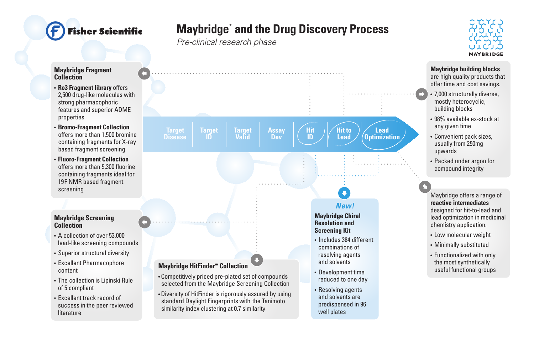## isher Scientific

## **Maybridge\* and the Drug Discovery Process**

*Pre-clinical research phase*

 standard Daylight Fingerprints with the Tanimoto similarity index clustering at 0.7 similarity



## **Maybridge Fragment Collection**

- **Ro3 Fragment library** offers 2,500 drug-like molecules with strong pharmacophoric features and superior ADME properties
- **Bromo-Fragment Collection** offers more than 1,500 bromine containing fragments for X-ray based fragment screening
- **Fluoro-Fragment Collection** offers more than 5,300 fluorine containing fragments ideal for 19F NMR based fragment screening

## **Maybridge Screening Collection**

- A collection of over 53,000 lead-like screening compounds
- Superior structural diversity
- Excellent Pharmacophore content
- The collection is Lipinski Rule of 5 compliant
- Excellent track record of success in the peer reviewed literature



 predispensed in 96 well plates

**Maybridge building blocks** are high quality products that

offer time and cost savings.

- 7,000 structurally diverse, mostly heterocyclic, building blocks
- 98% available ex-stock at any given time
- Convenient pack sizes, usually from 250mg upwards
- Packed under argon for compound integrity

Maybridge offers a range of **reactive intermediates**  designed for hit-to-lead and lead optimization in medicinal chemistry application.

- Low molecular weight
- Minimally substituted
- Functionalized with only the most synthetically<br>useful functional groups